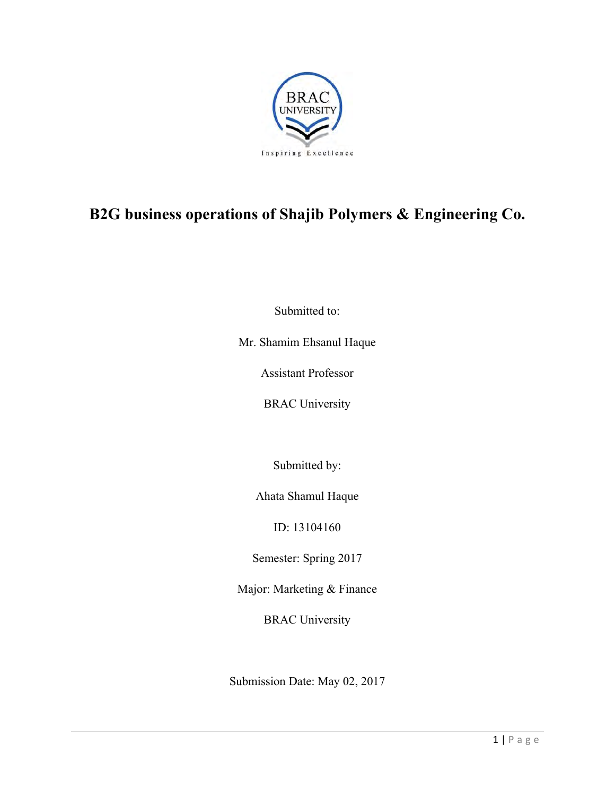

# **B2G business operations of Shajib Polymers & Engineering Co.**

Submitted to:

Mr. Shamim Ehsanul Haque

Assistant Professor

BRAC University

Submitted by:

Ahata Shamul Haque

ID: 13104160

Semester: Spring 2017

Major: Marketing & Finance

BRAC University

Submission Date: May 02, 2017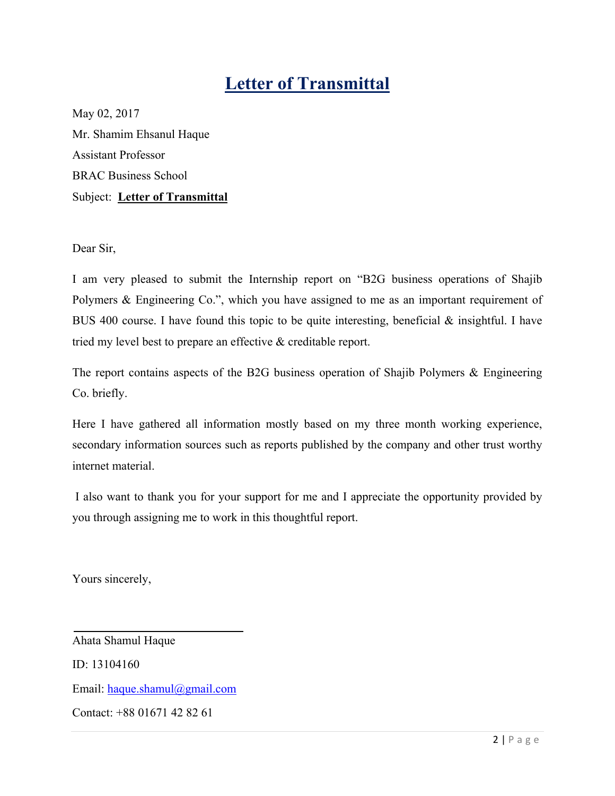# **Letter of Transmittal**

May 02, 2017 Mr. Shamim Ehsanul Haque Assistant Professor BRAC Business School Subject: **Letter of Transmittal** 

Dear Sir,

I am very pleased to submit the Internship report on "B2G business operations of Shajib Polymers & Engineering Co.", which you have assigned to me as an important requirement of BUS 400 course. I have found this topic to be quite interesting, beneficial & insightful. I have tried my level best to prepare an effective & creditable report.

The report contains aspects of the B2G business operation of Shajib Polymers & Engineering Co. briefly.

Here I have gathered all information mostly based on my three month working experience, secondary information sources such as reports published by the company and other trust worthy internet material.

 I also want to thank you for your support for me and I appreciate the opportunity provided by you through assigning me to work in this thoughtful report.

Yours sincerely,

Ahata Shamul Haque ID: 13104160 Email: haque.shamul@gmail.com Contact: +88 01671 42 82 61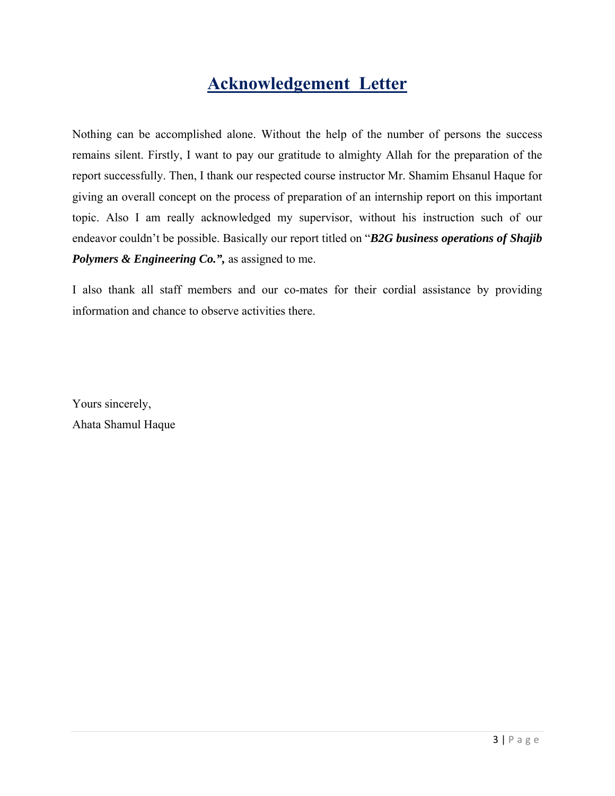# **Acknowledgement Letter**

Nothing can be accomplished alone. Without the help of the number of persons the success remains silent. Firstly, I want to pay our gratitude to almighty Allah for the preparation of the report successfully. Then, I thank our respected course instructor Mr. Shamim Ehsanul Haque for giving an overall concept on the process of preparation of an internship report on this important topic. Also I am really acknowledged my supervisor, without his instruction such of our endeavor couldn't be possible. Basically our report titled on "*B2G business operations of Shajib Polymers & Engineering Co.",* as assigned to me.

I also thank all staff members and our co-mates for their cordial assistance by providing information and chance to observe activities there.

Yours sincerely, Ahata Shamul Haque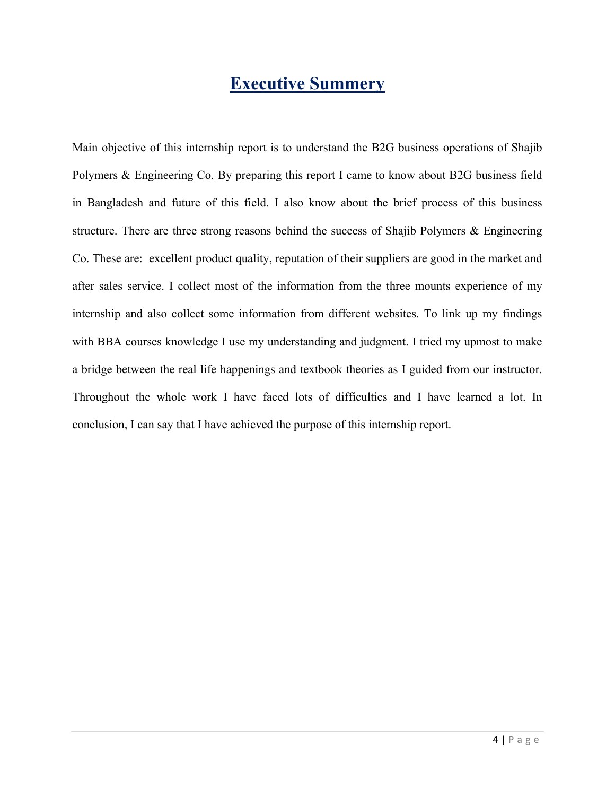# **Executive Summery**

Main objective of this internship report is to understand the B2G business operations of Shajib Polymers & Engineering Co. By preparing this report I came to know about B2G business field in Bangladesh and future of this field. I also know about the brief process of this business structure. There are three strong reasons behind the success of Shajib Polymers & Engineering Co. These are: excellent product quality, reputation of their suppliers are good in the market and after sales service. I collect most of the information from the three mounts experience of my internship and also collect some information from different websites. To link up my findings with BBA courses knowledge I use my understanding and judgment. I tried my upmost to make a bridge between the real life happenings and textbook theories as I guided from our instructor. Throughout the whole work I have faced lots of difficulties and I have learned a lot. In conclusion, I can say that I have achieved the purpose of this internship report.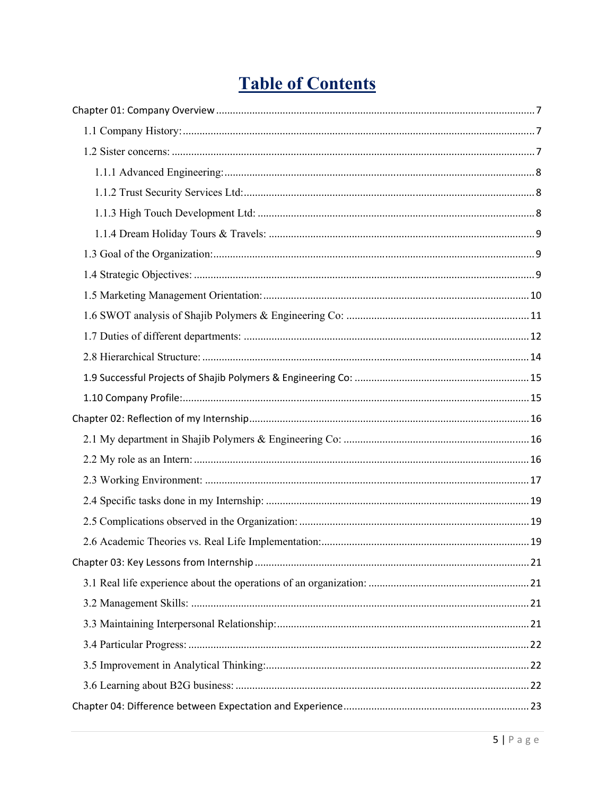# **Table of Contents**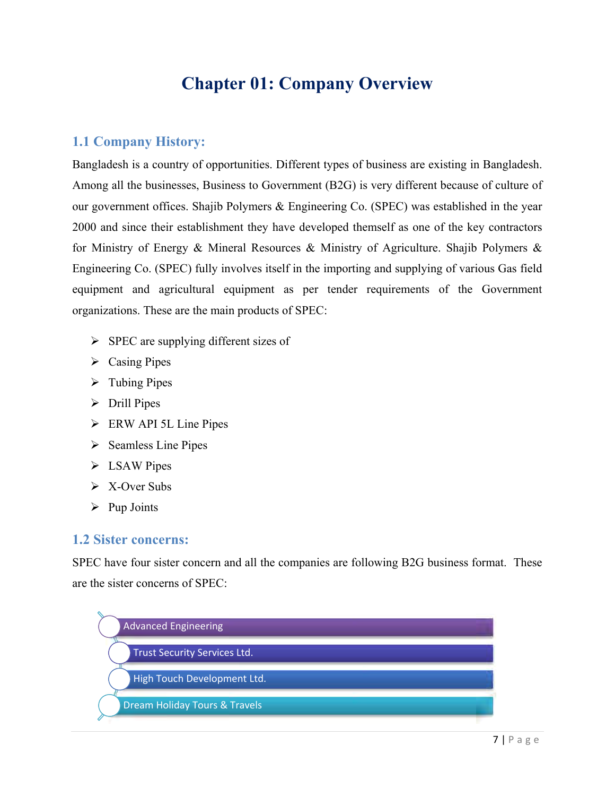# **Chapter 01: Company Overview**

#### **1.1 Company History:**

Bangladesh is a country of opportunities. Different types of business are existing in Bangladesh. Among all the businesses, Business to Government (B2G) is very different because of culture of our government offices. Shajib Polymers & Engineering Co. (SPEC) was established in the year 2000 and since their establishment they have developed themself as one of the key contractors for Ministry of Energy & Mineral Resources & Ministry of Agriculture. Shajib Polymers & Engineering Co. (SPEC) fully involves itself in the importing and supplying of various Gas field equipment and agricultural equipment as per tender requirements of the Government organizations. These are the main products of SPEC:

- $\triangleright$  SPEC are supplying different sizes of
- $\triangleright$  Casing Pipes
- $\triangleright$  Tubing Pipes
- $\triangleright$  Drill Pipes
- ERW API 5L Line Pipes
- $\triangleright$  Seamless Line Pipes
- > LSAW Pipes
- $\triangleright$  X-Over Subs
- $\triangleright$  Pup Joints

#### **1.2 Sister concerns:**

SPEC have four sister concern and all the companies are following B2G business format. These are the sister concerns of SPEC:

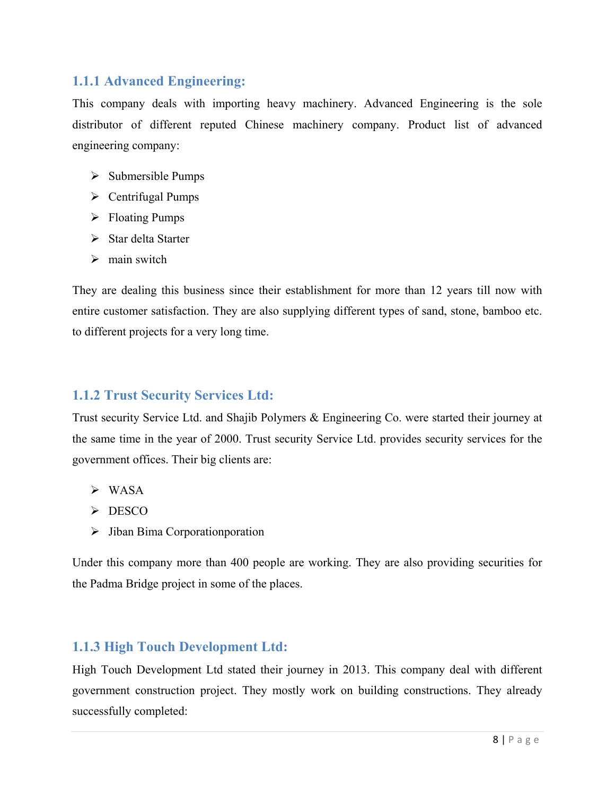#### **1.1.1 Advanced Engineering:**

This company deals with importing heavy machinery. Advanced Engineering is the sole distributor of different reputed Chinese machinery company. Product list of advanced engineering company:

- $\triangleright$  Submersible Pumps
- $\triangleright$  Centrifugal Pumps
- Floating Pumps
- $\triangleright$  Star delta Starter
- $\triangleright$  main switch

They are dealing this business since their establishment for more than 12 years till now with entire customer satisfaction. They are also supplying different types of sand, stone, bamboo etc. to different projects for a very long time.

#### **1.1.2 Trust Security Services Ltd:**

Trust security Service Ltd. and Shajib Polymers & Engineering Co. were started their journey at the same time in the year of 2000. Trust security Service Ltd. provides security services for the government offices. Their big clients are:

- WASA
- $\triangleright$  DESCO
- $\triangleright$  Jiban Bima Corporationporation

Under this company more than 400 people are working. They are also providing securities for the Padma Bridge project in some of the places.

#### **1.1.3 High Touch Development Ltd:**

High Touch Development Ltd stated their journey in 2013. This company deal with different government construction project. They mostly work on building constructions. They already successfully completed: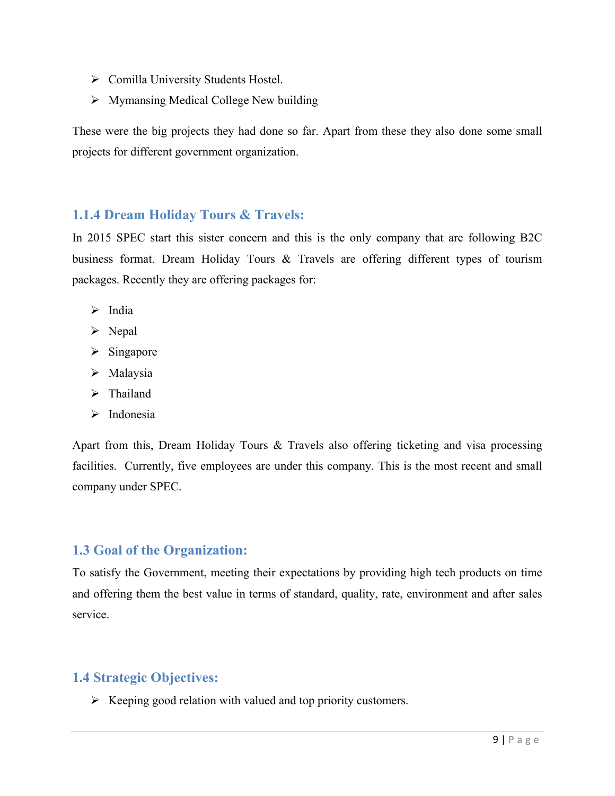- ▶ Comilla University Students Hostel.
- $\triangleright$  Mymansing Medical College New building

These were the big projects they had done so far. Apart from these they also done some small projects for different government organization.

#### **1.1.4 Dream Holiday Tours & Travels:**

In 2015 SPEC start this sister concern and this is the only company that are following B2C business format. Dream Holiday Tours & Travels are offering different types of tourism packages. Recently they are offering packages for:

- $\triangleright$  India
- $\triangleright$  Nepal
- $\triangleright$  Singapore
- > Malaysia
- > Thailand
- $\triangleright$  Indonesia

Apart from this, Dream Holiday Tours & Travels also offering ticketing and visa processing facilities. Currently, five employees are under this company. This is the most recent and small company under SPEC.

#### **1.3 Goal of the Organization:**

To satisfy the Government, meeting their expectations by providing high tech products on time and offering them the best value in terms of standard, quality, rate, environment and after sales service.

### **1.4 Strategic Objectives:**

 $\triangleright$  Keeping good relation with valued and top priority customers.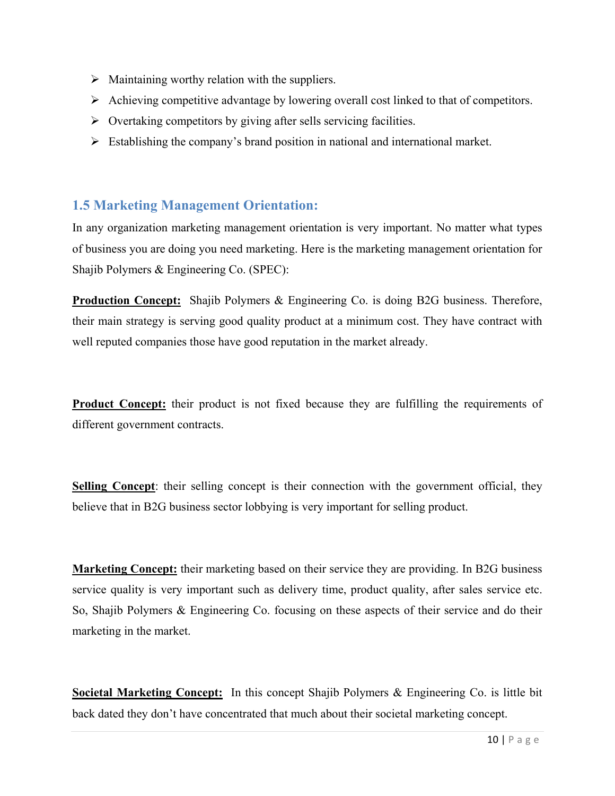- $\triangleright$  Maintaining worthy relation with the suppliers.
- $\triangleright$  Achieving competitive advantage by lowering overall cost linked to that of competitors.
- $\triangleright$  Overtaking competitors by giving after sells servicing facilities.
- $\triangleright$  Establishing the company's brand position in national and international market.

#### **1.5 Marketing Management Orientation:**

In any organization marketing management orientation is very important. No matter what types of business you are doing you need marketing. Here is the marketing management orientation for Shajib Polymers & Engineering Co. (SPEC):

**Production Concept:** Shajib Polymers & Engineering Co. is doing B2G business. Therefore, their main strategy is serving good quality product at a minimum cost. They have contract with well reputed companies those have good reputation in the market already.

**Product Concept:** their product is not fixed because they are fulfilling the requirements of different government contracts.

**Selling Concept**: their selling concept is their connection with the government official, they believe that in B2G business sector lobbying is very important for selling product.

**Marketing Concept:** their marketing based on their service they are providing. In B2G business service quality is very important such as delivery time, product quality, after sales service etc. So, Shajib Polymers & Engineering Co. focusing on these aspects of their service and do their marketing in the market.

**Societal Marketing Concept:** In this concept Shajib Polymers & Engineering Co. is little bit back dated they don't have concentrated that much about their societal marketing concept.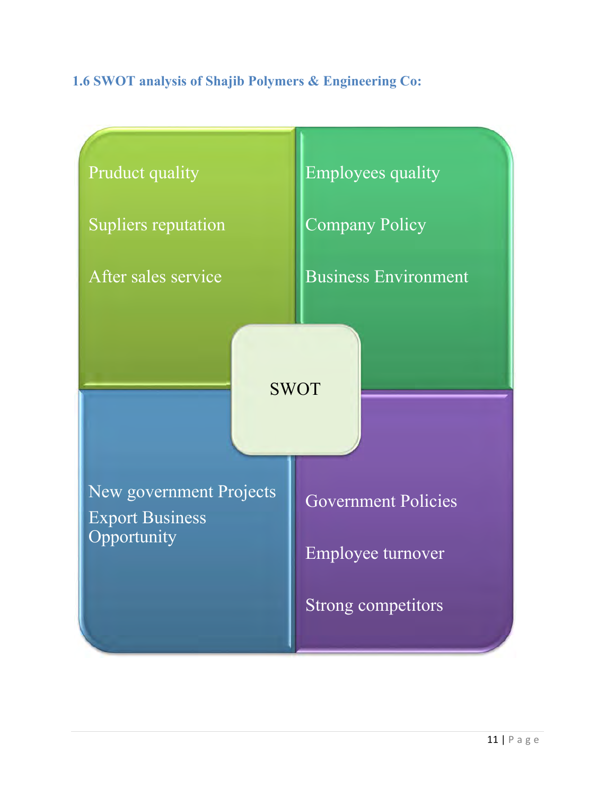### **1.6 SWOT analysis of Shajib Polymers & Engineering Co:**

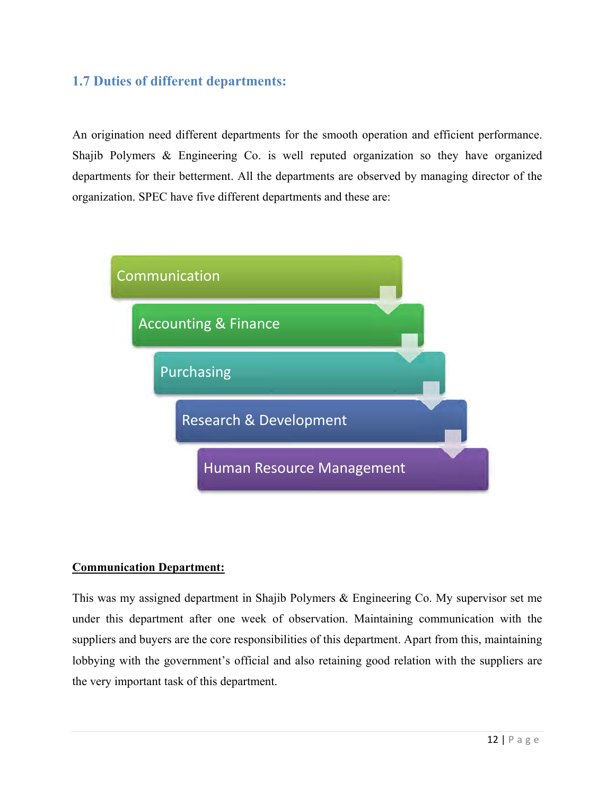### **1.7 Duties of different departments:**

An origination need different departments for the smooth operation and efficient performance. Shajib Polymers & Engineering Co. is well reputed organization so they have organized departments for their betterment. All the departments are observed by managing director of the organization. SPEC have five different departments and these are:



#### **Communication Department:**

This was my assigned department in Shajib Polymers & Engineering Co. My supervisor set me under this department after one week of observation. Maintaining communication with the suppliers and buyers are the core responsibilities of this department. Apart from this, maintaining lobbying with the government's official and also retaining good relation with the suppliers are the very important task of this department.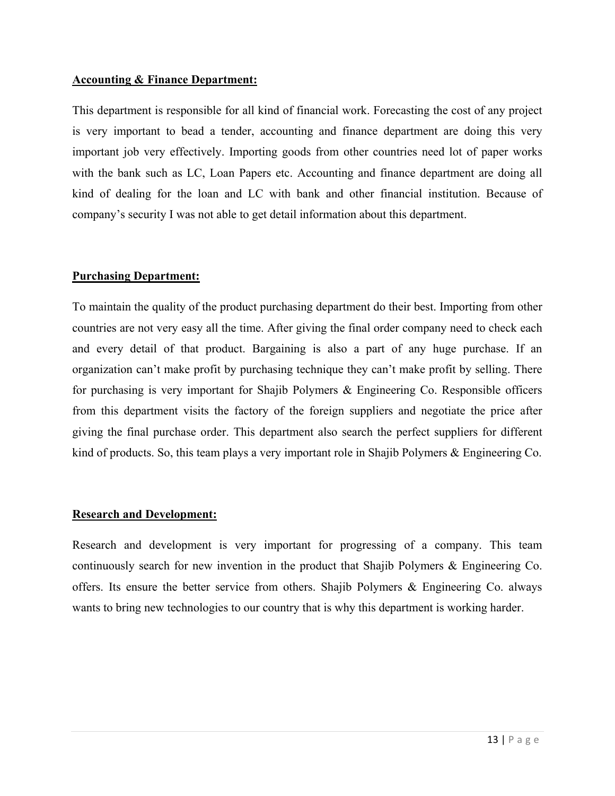#### **Accounting & Finance Department:**

This department is responsible for all kind of financial work. Forecasting the cost of any project is very important to bead a tender, accounting and finance department are doing this very important job very effectively. Importing goods from other countries need lot of paper works with the bank such as LC, Loan Papers etc. Accounting and finance department are doing all kind of dealing for the loan and LC with bank and other financial institution. Because of company's security I was not able to get detail information about this department.

#### **Purchasing Department:**

To maintain the quality of the product purchasing department do their best. Importing from other countries are not very easy all the time. After giving the final order company need to check each and every detail of that product. Bargaining is also a part of any huge purchase. If an organization can't make profit by purchasing technique they can't make profit by selling. There for purchasing is very important for Shajib Polymers & Engineering Co. Responsible officers from this department visits the factory of the foreign suppliers and negotiate the price after giving the final purchase order. This department also search the perfect suppliers for different kind of products. So, this team plays a very important role in Shajib Polymers & Engineering Co.

#### **Research and Development:**

Research and development is very important for progressing of a company. This team continuously search for new invention in the product that Shajib Polymers & Engineering Co. offers. Its ensure the better service from others. Shajib Polymers & Engineering Co. always wants to bring new technologies to our country that is why this department is working harder.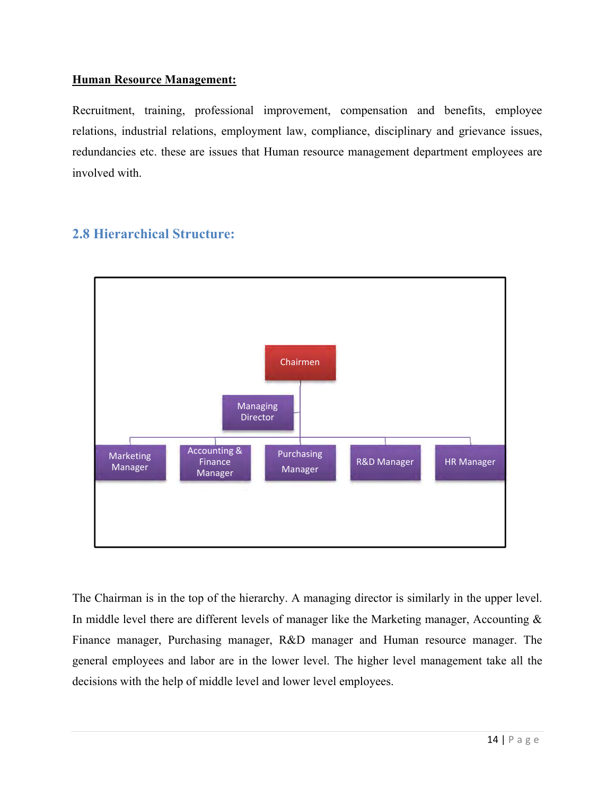#### **Human Resource Management:**

Recruitment, training, professional improvement, compensation and benefits, employee relations, industrial relations, employment law, compliance, disciplinary and grievance issues, redundancies etc. these are issues that Human resource management department employees are involved with.

#### **2.8 Hierarchical Structure:**



The Chairman is in the top of the hierarchy. A managing director is similarly in the upper level. In middle level there are different levels of manager like the Marketing manager, Accounting  $\&$ Finance manager, Purchasing manager, R&D manager and Human resource manager. The general employees and labor are in the lower level. The higher level management take all the decisions with the help of middle level and lower level employees.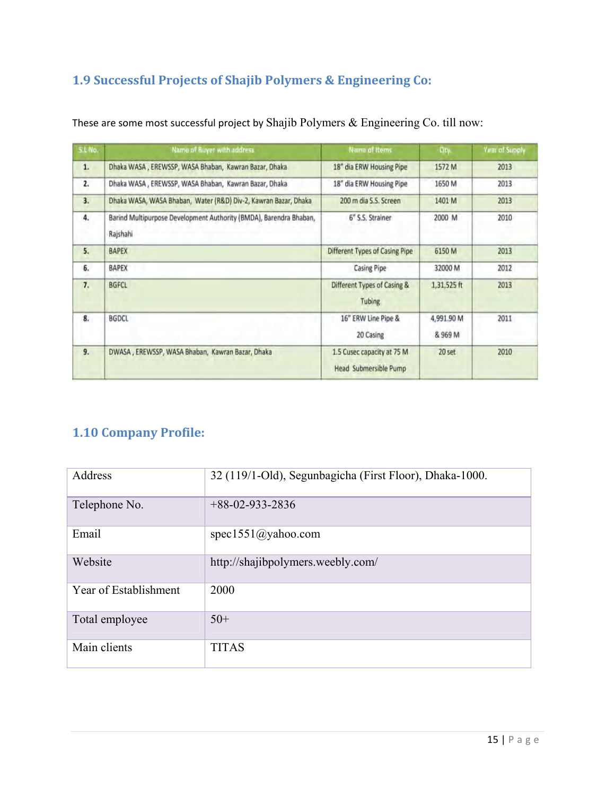### **1.9 Successful Projects of Shajib Polymers & Engineering Co:**

| S.L No. | Name of Buyer with address                                                     | <b>Name of Items</b>                                | Ory.                  | <b>Yirar of Supply</b> |
|---------|--------------------------------------------------------------------------------|-----------------------------------------------------|-----------------------|------------------------|
| 1.      | Dhaka WASA, EREWSSP, WASA Bhaban, Kawran Bazar, Dhaka                          | 18" dia ERW Housing Pipe                            | 1572 M                | 2013                   |
| 2.      | Dhaka WASA, EREWSSP, WASA Bhaban, Kawran Bazar, Dhaka                          | 18" dia ERW Housing Pipe                            | 1650 M                | 2013                   |
| 3.      | Dhaka WASA, WASA Bhaban, Water (R&D) Div-2, Kawran Bazar, Dhaka                | 200 m dia S.S. Screen                               | 1401 M                | 2013                   |
| 4.      | Barind Multipurpose Development Authority (BMDA), Barendra Bhaban,<br>Rajshahi | 6" S.S. Strainer                                    | 2000 M                | 2010                   |
| 5.      | <b>BAPEX</b>                                                                   | Different Types of Casing Pipe                      | 6150 M                | 2013                   |
| 6.      | <b>BAPEX</b>                                                                   | <b>Casing Pipe</b>                                  | 32000 M               | 2012                   |
| 7.      | <b>BGFCL</b>                                                                   | Different Types of Casing &<br>Tubing               | 1,31,525 ft           | 2013                   |
| 8.      | <b>BGDCL</b>                                                                   | 16" ERW Line Pipe &<br>20 Casing                    | 4,991.90 M<br>& 969 M | 2011                   |
| 9.      | DWASA, EREWSSP, WASA Bhaban, Kawran Bazar, Dhaka                               | 1.5 Cusec capacity at 75 M<br>Head Submersible Pump | 20 set                | 2010                   |

These are some most successful project by Shajib Polymers & Engineering Co. till now:

### **1.10 Company Profile:**

| Address               | 32 (119/1-Old), Segunbagicha (First Floor), Dhaka-1000. |
|-----------------------|---------------------------------------------------------|
| Telephone No.         | $+88-02-933-2836$                                       |
| Email                 | spec1551@yahoo.com                                      |
| Website               | http://shajibpolymers.weebly.com/                       |
| Year of Establishment | 2000                                                    |
| Total employee        | $50+$                                                   |
| Main clients          | <b>TITAS</b>                                            |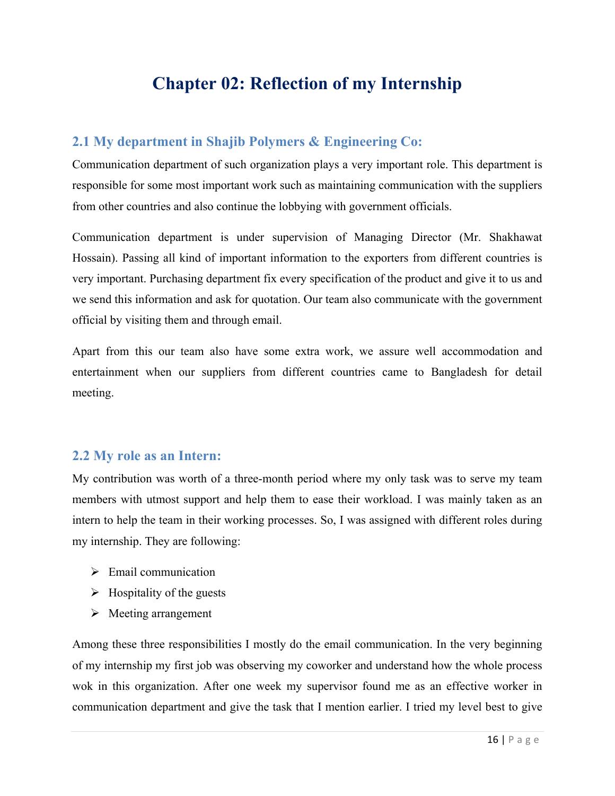# **Chapter 02: Reflection of my Internship**

#### **2.1 My department in Shajib Polymers & Engineering Co:**

Communication department of such organization plays a very important role. This department is responsible for some most important work such as maintaining communication with the suppliers from other countries and also continue the lobbying with government officials.

Communication department is under supervision of Managing Director (Mr. Shakhawat Hossain). Passing all kind of important information to the exporters from different countries is very important. Purchasing department fix every specification of the product and give it to us and we send this information and ask for quotation. Our team also communicate with the government official by visiting them and through email.

Apart from this our team also have some extra work, we assure well accommodation and entertainment when our suppliers from different countries came to Bangladesh for detail meeting.

#### **2.2 My role as an Intern:**

My contribution was worth of a three-month period where my only task was to serve my team members with utmost support and help them to ease their workload. I was mainly taken as an intern to help the team in their working processes. So, I was assigned with different roles during my internship. They are following:

- $\triangleright$  Email communication
- $\triangleright$  Hospitality of the guests
- $\triangleright$  Meeting arrangement

Among these three responsibilities I mostly do the email communication. In the very beginning of my internship my first job was observing my coworker and understand how the whole process wok in this organization. After one week my supervisor found me as an effective worker in communication department and give the task that I mention earlier. I tried my level best to give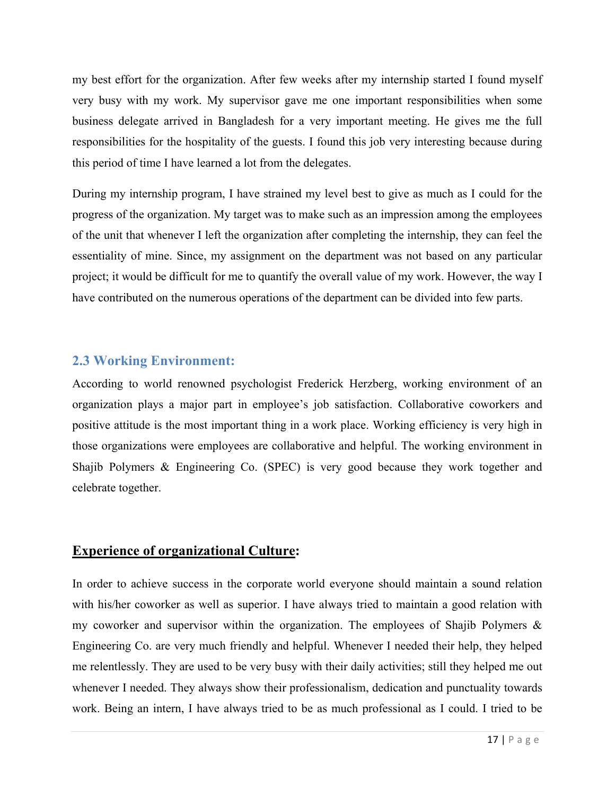my best effort for the organization. After few weeks after my internship started I found myself very busy with my work. My supervisor gave me one important responsibilities when some business delegate arrived in Bangladesh for a very important meeting. He gives me the full responsibilities for the hospitality of the guests. I found this job very interesting because during this period of time I have learned a lot from the delegates.

During my internship program, I have strained my level best to give as much as I could for the progress of the organization. My target was to make such as an impression among the employees of the unit that whenever I left the organization after completing the internship, they can feel the essentiality of mine. Since, my assignment on the department was not based on any particular project; it would be difficult for me to quantify the overall value of my work. However, the way I have contributed on the numerous operations of the department can be divided into few parts.

#### **2.3 Working Environment:**

According to world renowned psychologist Frederick Herzberg, working environment of an organization plays a major part in employee's job satisfaction. Collaborative coworkers and positive attitude is the most important thing in a work place. Working efficiency is very high in those organizations were employees are collaborative and helpful. The working environment in Shajib Polymers & Engineering Co. (SPEC) is very good because they work together and celebrate together.

#### **Experience of organizational Culture:**

In order to achieve success in the corporate world everyone should maintain a sound relation with his/her coworker as well as superior. I have always tried to maintain a good relation with my coworker and supervisor within the organization. The employees of Shajib Polymers & Engineering Co. are very much friendly and helpful. Whenever I needed their help, they helped me relentlessly. They are used to be very busy with their daily activities; still they helped me out whenever I needed. They always show their professionalism, dedication and punctuality towards work. Being an intern, I have always tried to be as much professional as I could. I tried to be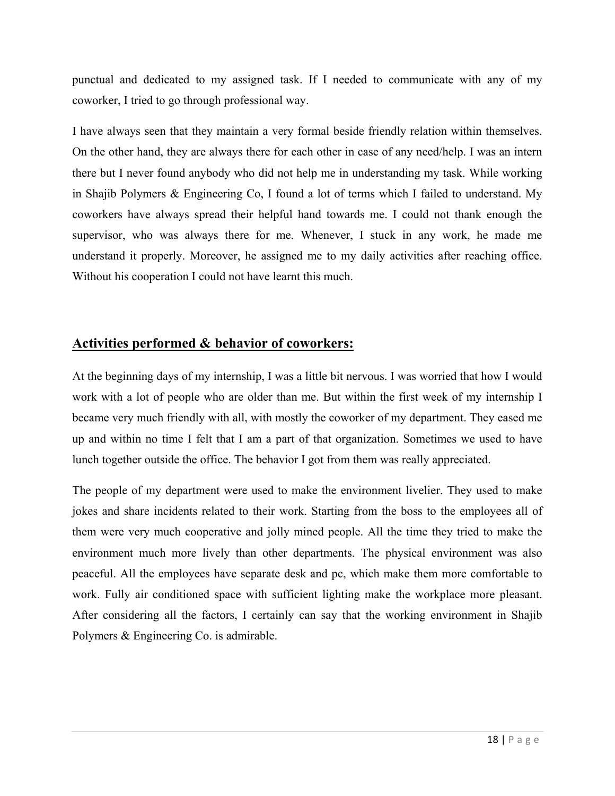punctual and dedicated to my assigned task. If I needed to communicate with any of my coworker, I tried to go through professional way.

I have always seen that they maintain a very formal beside friendly relation within themselves. On the other hand, they are always there for each other in case of any need/help. I was an intern there but I never found anybody who did not help me in understanding my task. While working in Shajib Polymers & Engineering Co, I found a lot of terms which I failed to understand. My coworkers have always spread their helpful hand towards me. I could not thank enough the supervisor, who was always there for me. Whenever, I stuck in any work, he made me understand it properly. Moreover, he assigned me to my daily activities after reaching office. Without his cooperation I could not have learnt this much.

#### **Activities performed & behavior of coworkers:**

At the beginning days of my internship, I was a little bit nervous. I was worried that how I would work with a lot of people who are older than me. But within the first week of my internship I became very much friendly with all, with mostly the coworker of my department. They eased me up and within no time I felt that I am a part of that organization. Sometimes we used to have lunch together outside the office. The behavior I got from them was really appreciated.

The people of my department were used to make the environment livelier. They used to make jokes and share incidents related to their work. Starting from the boss to the employees all of them were very much cooperative and jolly mined people. All the time they tried to make the environment much more lively than other departments. The physical environment was also peaceful. All the employees have separate desk and pc, which make them more comfortable to work. Fully air conditioned space with sufficient lighting make the workplace more pleasant. After considering all the factors, I certainly can say that the working environment in Shajib Polymers & Engineering Co. is admirable.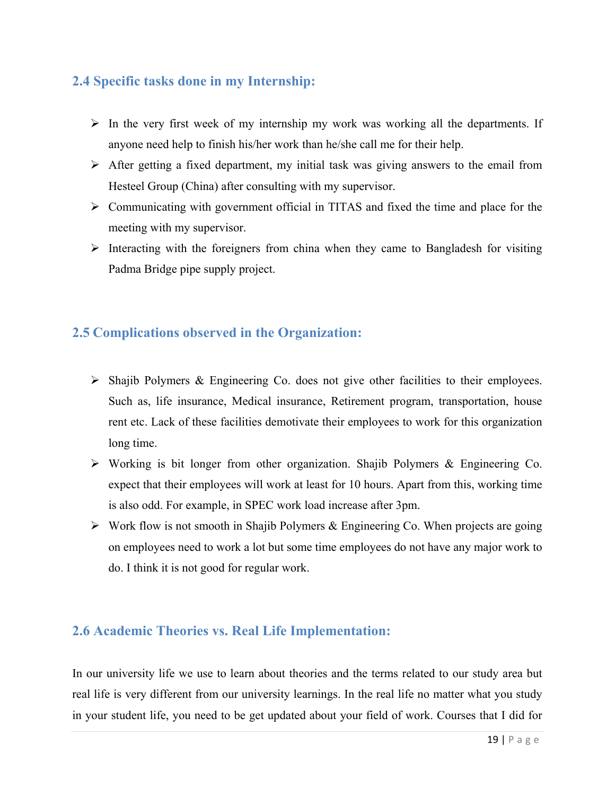#### **2.4 Specific tasks done in my Internship:**

- $\triangleright$  In the very first week of my internship my work was working all the departments. If anyone need help to finish his/her work than he/she call me for their help.
- $\triangleright$  After getting a fixed department, my initial task was giving answers to the email from Hesteel Group (China) after consulting with my supervisor.
- Communicating with government official in TITAS and fixed the time and place for the meeting with my supervisor.
- $\triangleright$  Interacting with the foreigners from china when they came to Bangladesh for visiting Padma Bridge pipe supply project.

#### **2.5 Complications observed in the Organization:**

- $\triangleright$  Shajib Polymers & Engineering Co. does not give other facilities to their employees. Such as, life insurance, Medical insurance, Retirement program, transportation, house rent etc. Lack of these facilities demotivate their employees to work for this organization long time.
- Working is bit longer from other organization. Shajib Polymers & Engineering Co. expect that their employees will work at least for 10 hours. Apart from this, working time is also odd. For example, in SPEC work load increase after 3pm.
- $\triangleright$  Work flow is not smooth in Shajib Polymers & Engineering Co. When projects are going on employees need to work a lot but some time employees do not have any major work to do. I think it is not good for regular work.

#### **2.6 Academic Theories vs. Real Life Implementation:**

In our university life we use to learn about theories and the terms related to our study area but real life is very different from our university learnings. In the real life no matter what you study in your student life, you need to be get updated about your field of work. Courses that I did for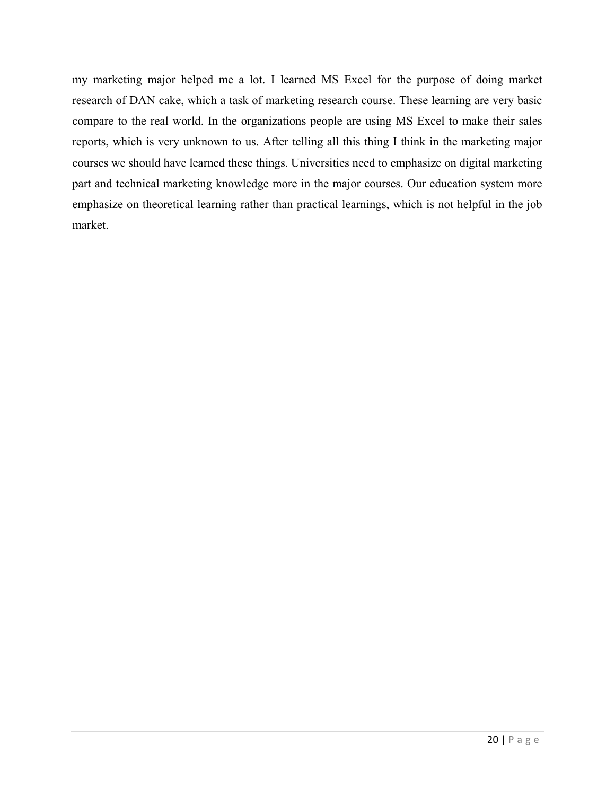my marketing major helped me a lot. I learned MS Excel for the purpose of doing market research of DAN cake, which a task of marketing research course. These learning are very basic compare to the real world. In the organizations people are using MS Excel to make their sales reports, which is very unknown to us. After telling all this thing I think in the marketing major courses we should have learned these things. Universities need to emphasize on digital marketing part and technical marketing knowledge more in the major courses. Our education system more emphasize on theoretical learning rather than practical learnings, which is not helpful in the job market.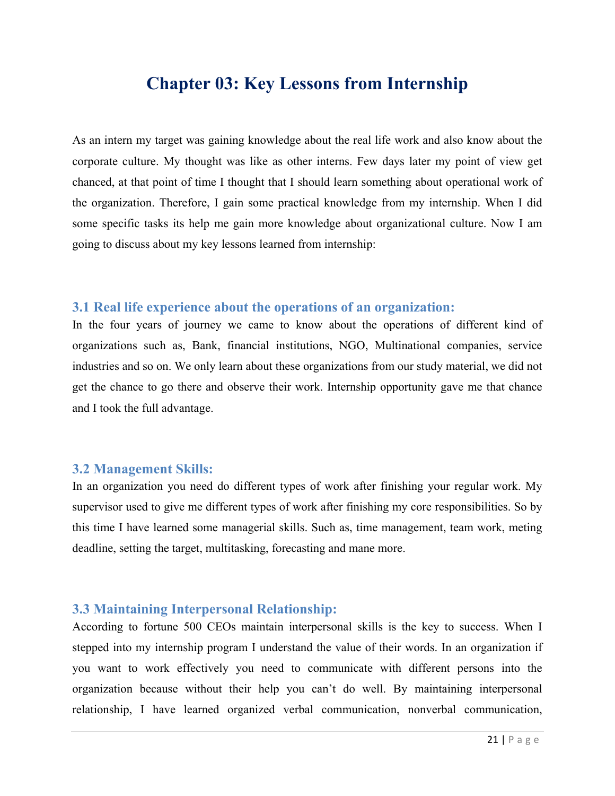### **Chapter 03: Key Lessons from Internship**

As an intern my target was gaining knowledge about the real life work and also know about the corporate culture. My thought was like as other interns. Few days later my point of view get chanced, at that point of time I thought that I should learn something about operational work of the organization. Therefore, I gain some practical knowledge from my internship. When I did some specific tasks its help me gain more knowledge about organizational culture. Now I am going to discuss about my key lessons learned from internship:

#### **3.1 Real life experience about the operations of an organization:**

In the four years of journey we came to know about the operations of different kind of organizations such as, Bank, financial institutions, NGO, Multinational companies, service industries and so on. We only learn about these organizations from our study material, we did not get the chance to go there and observe their work. Internship opportunity gave me that chance and I took the full advantage.

#### **3.2 Management Skills:**

In an organization you need do different types of work after finishing your regular work. My supervisor used to give me different types of work after finishing my core responsibilities. So by this time I have learned some managerial skills. Such as, time management, team work, meting deadline, setting the target, multitasking, forecasting and mane more.

#### **3.3 Maintaining Interpersonal Relationship:**

According to fortune 500 CEOs maintain interpersonal skills is the key to success. When I stepped into my internship program I understand the value of their words. In an organization if you want to work effectively you need to communicate with different persons into the organization because without their help you can't do well. By maintaining interpersonal relationship, I have learned organized verbal communication, nonverbal communication,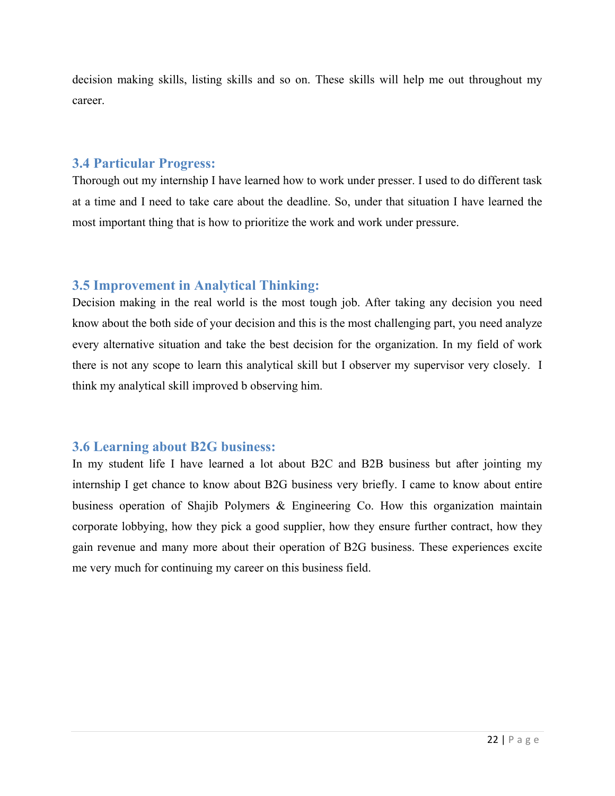decision making skills, listing skills and so on. These skills will help me out throughout my career.

#### **3.4 Particular Progress:**

Thorough out my internship I have learned how to work under presser. I used to do different task at a time and I need to take care about the deadline. So, under that situation I have learned the most important thing that is how to prioritize the work and work under pressure.

#### **3.5 Improvement in Analytical Thinking:**

Decision making in the real world is the most tough job. After taking any decision you need know about the both side of your decision and this is the most challenging part, you need analyze every alternative situation and take the best decision for the organization. In my field of work there is not any scope to learn this analytical skill but I observer my supervisor very closely. I think my analytical skill improved b observing him.

#### **3.6 Learning about B2G business:**

In my student life I have learned a lot about B2C and B2B business but after jointing my internship I get chance to know about B2G business very briefly. I came to know about entire business operation of Shajib Polymers & Engineering Co. How this organization maintain corporate lobbying, how they pick a good supplier, how they ensure further contract, how they gain revenue and many more about their operation of B2G business. These experiences excite me very much for continuing my career on this business field.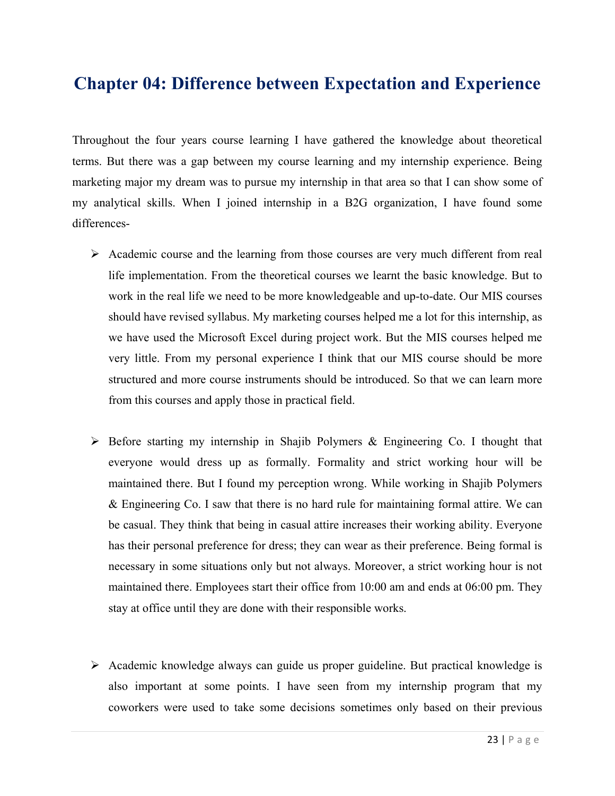# **Chapter 04: Difference between Expectation and Experience**

Throughout the four years course learning I have gathered the knowledge about theoretical terms. But there was a gap between my course learning and my internship experience. Being marketing major my dream was to pursue my internship in that area so that I can show some of my analytical skills. When I joined internship in a B2G organization, I have found some differences-

- $\triangleright$  Academic course and the learning from those courses are very much different from real life implementation. From the theoretical courses we learnt the basic knowledge. But to work in the real life we need to be more knowledgeable and up-to-date. Our MIS courses should have revised syllabus. My marketing courses helped me a lot for this internship, as we have used the Microsoft Excel during project work. But the MIS courses helped me very little. From my personal experience I think that our MIS course should be more structured and more course instruments should be introduced. So that we can learn more from this courses and apply those in practical field.
- $\triangleright$  Before starting my internship in Shajib Polymers & Engineering Co. I thought that everyone would dress up as formally. Formality and strict working hour will be maintained there. But I found my perception wrong. While working in Shajib Polymers & Engineering Co. I saw that there is no hard rule for maintaining formal attire. We can be casual. They think that being in casual attire increases their working ability. Everyone has their personal preference for dress; they can wear as their preference. Being formal is necessary in some situations only but not always. Moreover, a strict working hour is not maintained there. Employees start their office from 10:00 am and ends at 06:00 pm. They stay at office until they are done with their responsible works.
- $\triangleright$  Academic knowledge always can guide us proper guideline. But practical knowledge is also important at some points. I have seen from my internship program that my coworkers were used to take some decisions sometimes only based on their previous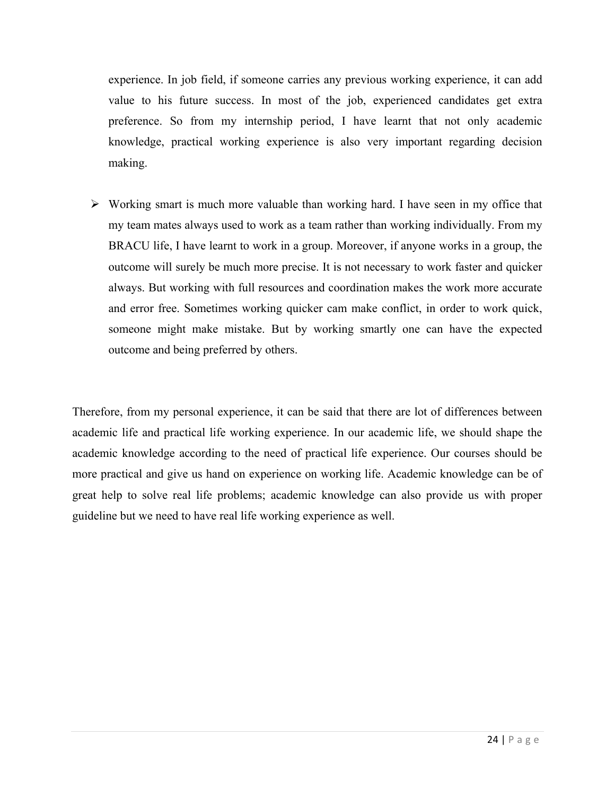experience. In job field, if someone carries any previous working experience, it can add value to his future success. In most of the job, experienced candidates get extra preference. So from my internship period, I have learnt that not only academic knowledge, practical working experience is also very important regarding decision making.

 $\triangleright$  Working smart is much more valuable than working hard. I have seen in my office that my team mates always used to work as a team rather than working individually. From my BRACU life, I have learnt to work in a group. Moreover, if anyone works in a group, the outcome will surely be much more precise. It is not necessary to work faster and quicker always. But working with full resources and coordination makes the work more accurate and error free. Sometimes working quicker cam make conflict, in order to work quick, someone might make mistake. But by working smartly one can have the expected outcome and being preferred by others.

Therefore, from my personal experience, it can be said that there are lot of differences between academic life and practical life working experience. In our academic life, we should shape the academic knowledge according to the need of practical life experience. Our courses should be more practical and give us hand on experience on working life. Academic knowledge can be of great help to solve real life problems; academic knowledge can also provide us with proper guideline but we need to have real life working experience as well.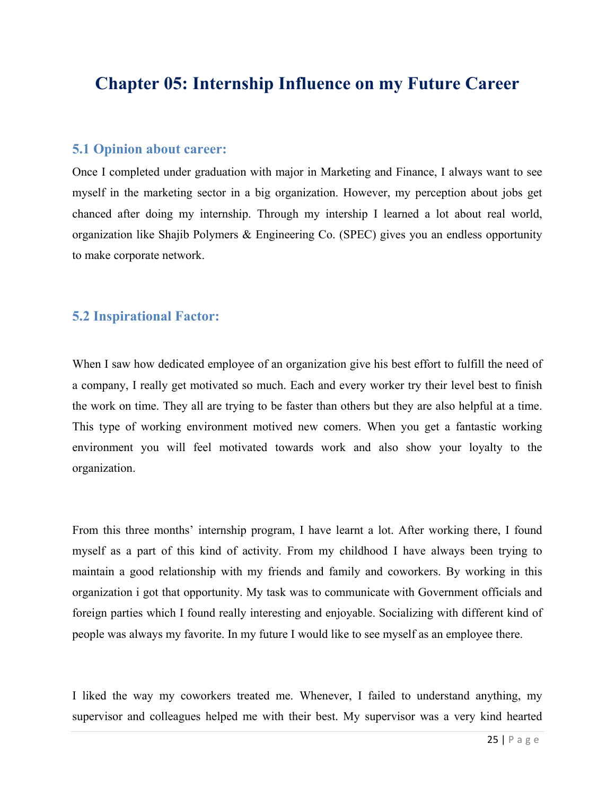## **Chapter 05: Internship Influence on my Future Career**

#### **5.1 Opinion about career:**

Once I completed under graduation with major in Marketing and Finance, I always want to see myself in the marketing sector in a big organization. However, my perception about jobs get chanced after doing my internship. Through my intership I learned a lot about real world, organization like Shajib Polymers & Engineering Co. (SPEC) gives you an endless opportunity to make corporate network.

#### **5.2 Inspirational Factor:**

When I saw how dedicated employee of an organization give his best effort to fulfill the need of a company, I really get motivated so much. Each and every worker try their level best to finish the work on time. They all are trying to be faster than others but they are also helpful at a time. This type of working environment motived new comers. When you get a fantastic working environment you will feel motivated towards work and also show your loyalty to the organization.

From this three months' internship program, I have learnt a lot. After working there, I found myself as a part of this kind of activity. From my childhood I have always been trying to maintain a good relationship with my friends and family and coworkers. By working in this organization i got that opportunity. My task was to communicate with Government officials and foreign parties which I found really interesting and enjoyable. Socializing with different kind of people was always my favorite. In my future I would like to see myself as an employee there.

I liked the way my coworkers treated me. Whenever, I failed to understand anything, my supervisor and colleagues helped me with their best. My supervisor was a very kind hearted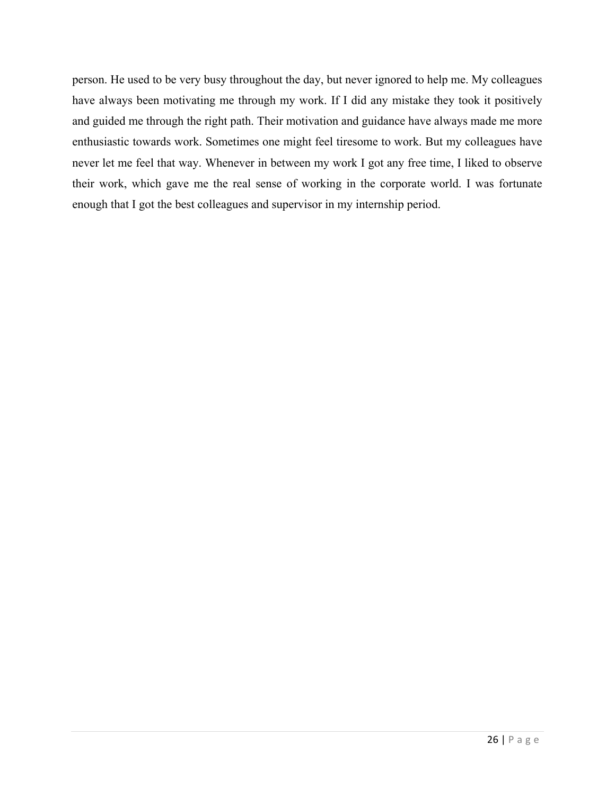person. He used to be very busy throughout the day, but never ignored to help me. My colleagues have always been motivating me through my work. If I did any mistake they took it positively and guided me through the right path. Their motivation and guidance have always made me more enthusiastic towards work. Sometimes one might feel tiresome to work. But my colleagues have never let me feel that way. Whenever in between my work I got any free time, I liked to observe their work, which gave me the real sense of working in the corporate world. I was fortunate enough that I got the best colleagues and supervisor in my internship period.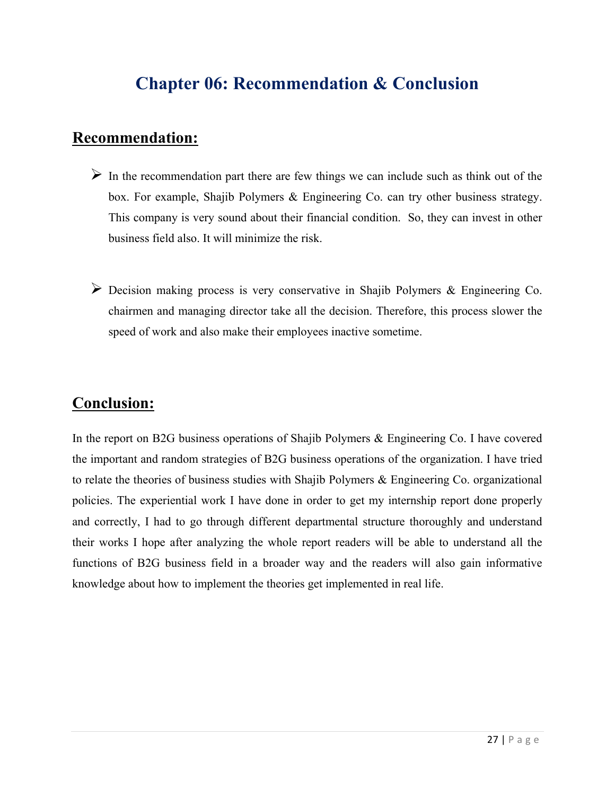# **Chapter 06: Recommendation & Conclusion**

### **Recommendation:**

- $\triangleright$  In the recommendation part there are few things we can include such as think out of the box. For example, Shajib Polymers & Engineering Co. can try other business strategy. This company is very sound about their financial condition. So, they can invest in other business field also. It will minimize the risk.
- Decision making process is very conservative in Shajib Polymers & Engineering Co. chairmen and managing director take all the decision. Therefore, this process slower the speed of work and also make their employees inactive sometime.

### **Conclusion:**

In the report on B2G business operations of Shajib Polymers & Engineering Co. I have covered the important and random strategies of B2G business operations of the organization. I have tried to relate the theories of business studies with Shajib Polymers & Engineering Co. organizational policies. The experiential work I have done in order to get my internship report done properly and correctly, I had to go through different departmental structure thoroughly and understand their works I hope after analyzing the whole report readers will be able to understand all the functions of B2G business field in a broader way and the readers will also gain informative knowledge about how to implement the theories get implemented in real life.